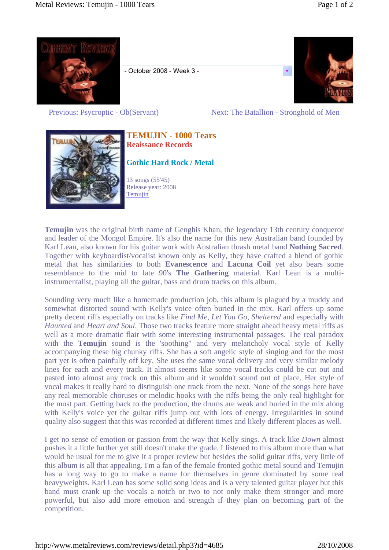

- October 2008 - Week 3 -



Previous: Psycroptic - Ob(Servant) Next: The Batallion - Stronghold of Men



## **TEMUJIN - 1000 Tears Reaissance Records**

**Gothic Hard Rock / Metal**

13 songs (55'45) Release year: 2008 Temujin

**Temujin** was the original birth name of Genghis Khan, the legendary 13th century conqueror and leader of the Mongol Empire. It's also the name for this new Australian band founded by Karl Lean, also known for his guitar work with Australian thrash metal band **Nothing Sacred**. Together with keyboardist/vocalist known only as Kelly, they have crafted a blend of gothic metal that has similarities to both **Evanescence** and **Lacuna Coil** yet also bears some resemblance to the mid to late 90's **The Gathering** material. Karl Lean is a multiinstrumentalist, playing all the guitar, bass and drum tracks on this album.

Sounding very much like a homemade production job, this album is plagued by a muddy and somewhat distorted sound with Kelly's voice often buried in the mix. Karl offers up some pretty decent riffs especially on tracks like *Find Me*, *Let You Go*, *Sheltered* and especially with *Haunted* and *Heart and Soul*. Those two tracks feature more straight ahead heavy metal riffs as well as a more dramatic flair with some interesting instrumental passages. The real paradox with the **Temujin** sound is the 'soothing" and very melancholy vocal style of Kelly accompanying these big chunky riffs. She has a soft angelic style of singing and for the most part yet is often painfully off key. She uses the same vocal delivery and very similar melody lines for each and every track. It almost seems like some vocal tracks could be cut out and pasted into almost any track on this album and it wouldn't sound out of place. Her style of vocal makes it really hard to distinguish one track from the next. None of the songs here have any real memorable choruses or melodic hooks with the riffs being the only real highlight for the most part. Getting back to the production, the drums are weak and buried in the mix along with Kelly's voice yet the guitar riffs jump out with lots of energy. Irregularities in sound quality also suggest that this was recorded at different times and likely different places as well.

I get no sense of emotion or passion from the way that Kelly sings. A track like *Down* almost pushes it a little further yet still doesn't make the grade. I listened to this album more than what would be usual for me to give it a proper review but besides the solid guitar riffs, very little of this album is all that appealing. I'm a fan of the female fronted gothic metal sound and Temujin has a long way to go to make a name for themselves in genre dominated by some real heavyweights. Karl Lean has some solid song ideas and is a very talented guitar player but this band must crank up the vocals a notch or two to not only make them stronger and more powerful, but also add more emotion and strength if they plan on becoming part of the competition.